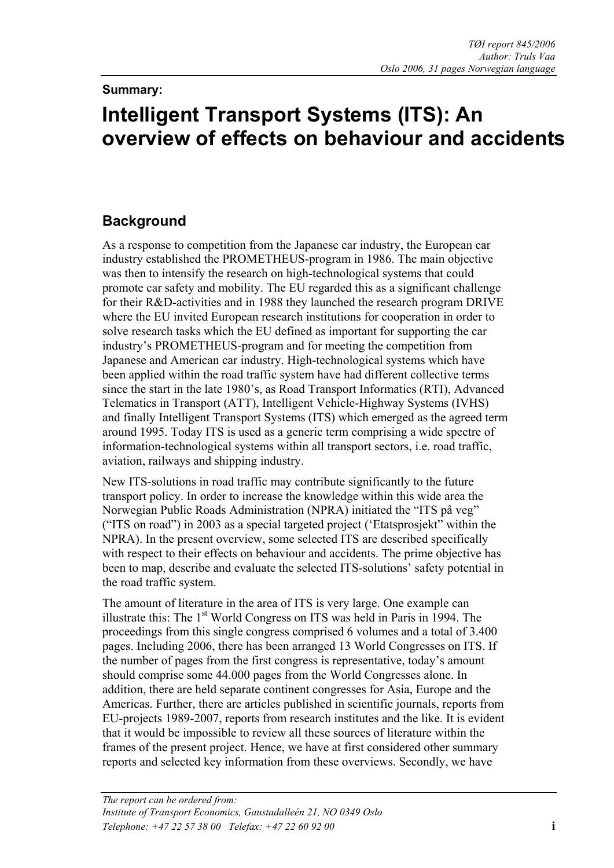## **Summary:**

# **Intelligent Transport Systems (ITS): An overview of effects on behaviour and accidents**

# **Background**

As a response to competition from the Japanese car industry, the European car industry established the PROMETHEUS-program in 1986. The main objective was then to intensify the research on high-technological systems that could promote car safety and mobility. The EU regarded this as a significant challenge for their R&D-activities and in 1988 they launched the research program DRIVE where the EU invited European research institutions for cooperation in order to solve research tasks which the EU defined as important for supporting the car industry's PROMETHEUS-program and for meeting the competition from Japanese and American car industry. High-technological systems which have been applied within the road traffic system have had different collective terms since the start in the late 1980's, as Road Transport Informatics (RTI), Advanced Telematics in Transport (ATT), Intelligent Vehicle-Highway Systems (IVHS) and finally Intelligent Transport Systems (ITS) which emerged as the agreed term around 1995. Today ITS is used as a generic term comprising a wide spectre of information-technological systems within all transport sectors, i.e. road traffic, aviation, railways and shipping industry.

New ITS-solutions in road traffic may contribute significantly to the future transport policy. In order to increase the knowledge within this wide area the Norwegian Public Roads Administration (NPRA) initiated the "ITS på veg" ("ITS on road") in 2003 as a special targeted project ('Etatsprosjekt" within the NPRA). In the present overview, some selected ITS are described specifically with respect to their effects on behaviour and accidents. The prime objective has been to map, describe and evaluate the selected ITS-solutions' safety potential in the road traffic system.

The amount of literature in the area of ITS is very large. One example can illustrate this: The 1<sup>st</sup> World Congress on ITS was held in Paris in 1994. The proceedings from this single congress comprised 6 volumes and a total of 3.400 pages. Including 2006, there has been arranged 13 World Congresses on ITS. If the number of pages from the first congress is representative, today's amount should comprise some 44.000 pages from the World Congresses alone. In addition, there are held separate continent congresses for Asia, Europe and the Americas. Further, there are articles published in scientific journals, reports from EU-projects 1989-2007, reports from research institutes and the like. It is evident that it would be impossible to review all these sources of literature within the frames of the present project. Hence, we have at first considered other summary reports and selected key information from these overviews. Secondly, we have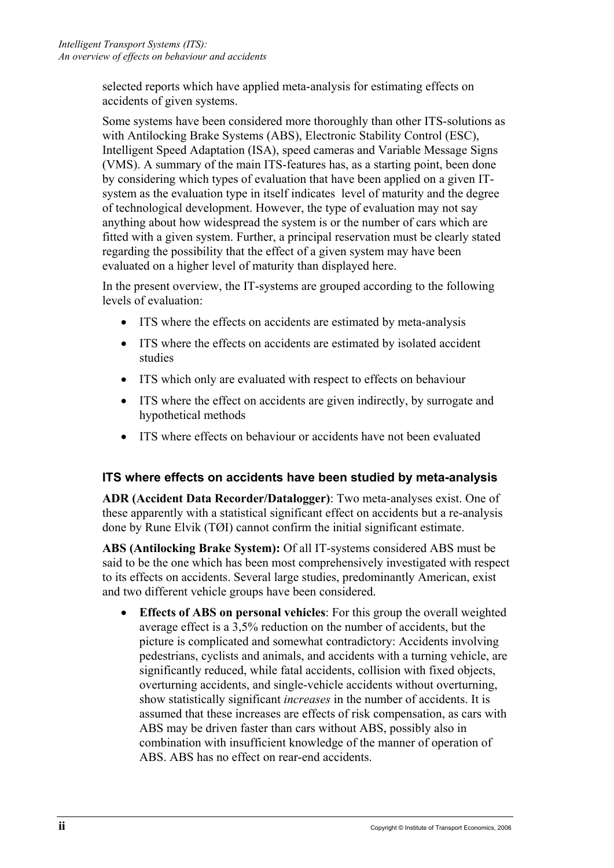selected reports which have applied meta-analysis for estimating effects on accidents of given systems.

Some systems have been considered more thoroughly than other ITS-solutions as with Antilocking Brake Systems (ABS), Electronic Stability Control (ESC), Intelligent Speed Adaptation (ISA), speed cameras and Variable Message Signs (VMS). A summary of the main ITS-features has, as a starting point, been done by considering which types of evaluation that have been applied on a given ITsystem as the evaluation type in itself indicates level of maturity and the degree of technological development. However, the type of evaluation may not say anything about how widespread the system is or the number of cars which are fitted with a given system. Further, a principal reservation must be clearly stated regarding the possibility that the effect of a given system may have been evaluated on a higher level of maturity than displayed here.

In the present overview, the IT-systems are grouped according to the following levels of evaluation:

- ITS where the effects on accidents are estimated by meta-analysis
- ITS where the effects on accidents are estimated by isolated accident studies
- ITS which only are evaluated with respect to effects on behaviour
- ITS where the effect on accidents are given indirectly, by surrogate and hypothetical methods
- ITS where effects on behaviour or accidents have not been evaluated

#### **ITS where effects on accidents have been studied by meta-analysis**

**ADR (Accident Data Recorder/Datalogger)**: Two meta-analyses exist. One of these apparently with a statistical significant effect on accidents but a re-analysis done by Rune Elvik (TØI) cannot confirm the initial significant estimate.

**ABS (Antilocking Brake System):** Of all IT-systems considered ABS must be said to be the one which has been most comprehensively investigated with respect to its effects on accidents. Several large studies, predominantly American, exist and two different vehicle groups have been considered.

• **Effects of ABS on personal vehicles**: For this group the overall weighted average effect is a 3,5% reduction on the number of accidents, but the picture is complicated and somewhat contradictory: Accidents involving pedestrians, cyclists and animals, and accidents with a turning vehicle, are significantly reduced, while fatal accidents, collision with fixed objects, overturning accidents, and single-vehicle accidents without overturning, show statistically significant *increases* in the number of accidents. It is assumed that these increases are effects of risk compensation, as cars with ABS may be driven faster than cars without ABS, possibly also in combination with insufficient knowledge of the manner of operation of ABS. ABS has no effect on rear-end accidents.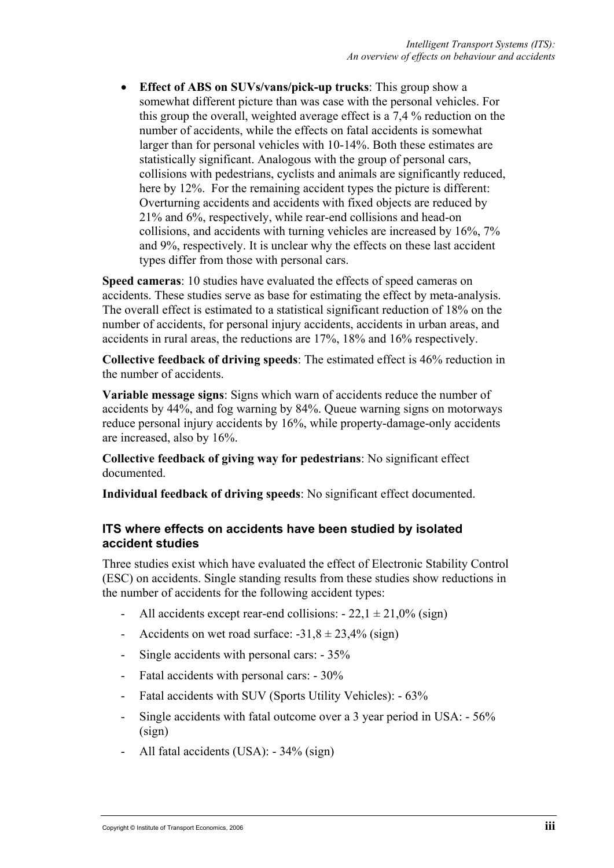• **Effect of ABS on SUVs/vans/pick-up trucks**: This group show a somewhat different picture than was case with the personal vehicles. For this group the overall, weighted average effect is a 7,4 % reduction on the number of accidents, while the effects on fatal accidents is somewhat larger than for personal vehicles with 10-14%. Both these estimates are statistically significant. Analogous with the group of personal cars, collisions with pedestrians, cyclists and animals are significantly reduced, here by 12%. For the remaining accident types the picture is different: Overturning accidents and accidents with fixed objects are reduced by 21% and 6%, respectively, while rear-end collisions and head-on collisions, and accidents with turning vehicles are increased by 16%, 7% and 9%, respectively. It is unclear why the effects on these last accident types differ from those with personal cars.

**Speed cameras**: 10 studies have evaluated the effects of speed cameras on accidents. These studies serve as base for estimating the effect by meta-analysis. The overall effect is estimated to a statistical significant reduction of 18% on the number of accidents, for personal injury accidents, accidents in urban areas, and accidents in rural areas, the reductions are 17%, 18% and 16% respectively.

**Collective feedback of driving speeds**: The estimated effect is 46% reduction in the number of accidents.

**Variable message signs**: Signs which warn of accidents reduce the number of accidents by 44%, and fog warning by 84%. Queue warning signs on motorways reduce personal injury accidents by 16%, while property-damage-only accidents are increased, also by 16%.

**Collective feedback of giving way for pedestrians**: No significant effect documented.

**Individual feedback of driving speeds**: No significant effect documented.

#### **ITS where effects on accidents have been studied by isolated accident studies**

Three studies exist which have evaluated the effect of Electronic Stability Control (ESC) on accidents. Single standing results from these studies show reductions in the number of accidents for the following accident types:

- All accidents except rear-end collisions:  $22$ ,  $1 \pm 21$ ,  $0\%$  (sign)
- Accidents on wet road surface:  $-31,8 \pm 23,4\%$  (sign)
- Single accidents with personal cars: 35%
- Fatal accidents with personal cars: 30%
- Fatal accidents with SUV (Sports Utility Vehicles): 63%
- Single accidents with fatal outcome over a 3 year period in USA: 56% (sign)
- All fatal accidents (USA): 34% (sign)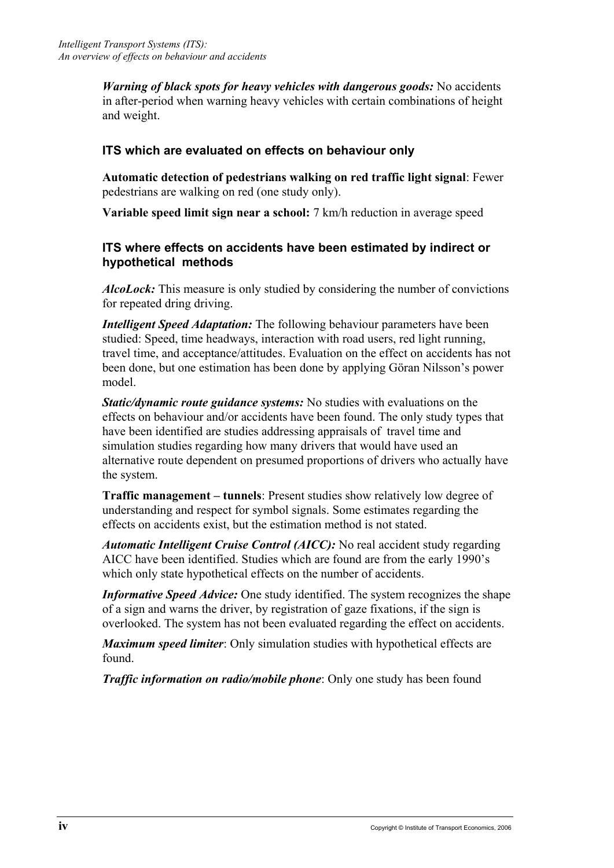*Warning of black spots for heavy vehicles with dangerous goods:* No accidents in after-period when warning heavy vehicles with certain combinations of height and weight.

## **ITS which are evaluated on effects on behaviour only**

**Automatic detection of pedestrians walking on red traffic light signal**: Fewer pedestrians are walking on red (one study only).

**Variable speed limit sign near a school:** 7 km/h reduction in average speed

#### **ITS where effects on accidents have been estimated by indirect or hypothetical methods**

*AlcoLock:* This measure is only studied by considering the number of convictions for repeated dring driving.

*Intelligent Speed Adaptation:* The following behaviour parameters have been studied: Speed, time headways, interaction with road users, red light running, travel time, and acceptance/attitudes. Evaluation on the effect on accidents has not been done, but one estimation has been done by applying Göran Nilsson's power model.

*Static/dynamic route guidance systems:* No studies with evaluations on the effects on behaviour and/or accidents have been found. The only study types that have been identified are studies addressing appraisals of travel time and simulation studies regarding how many drivers that would have used an alternative route dependent on presumed proportions of drivers who actually have the system.

**Traffic management – tunnels**: Present studies show relatively low degree of understanding and respect for symbol signals. Some estimates regarding the effects on accidents exist, but the estimation method is not stated.

*Automatic Intelligent Cruise Control (AICC):* No real accident study regarding AICC have been identified. Studies which are found are from the early 1990's which only state hypothetical effects on the number of accidents.

*Informative Speed Advice:* One study identified. The system recognizes the shape of a sign and warns the driver, by registration of gaze fixations, if the sign is overlooked. The system has not been evaluated regarding the effect on accidents.

*Maximum speed limiter*: Only simulation studies with hypothetical effects are found.

*Traffic information on radio/mobile phone*: Only one study has been found